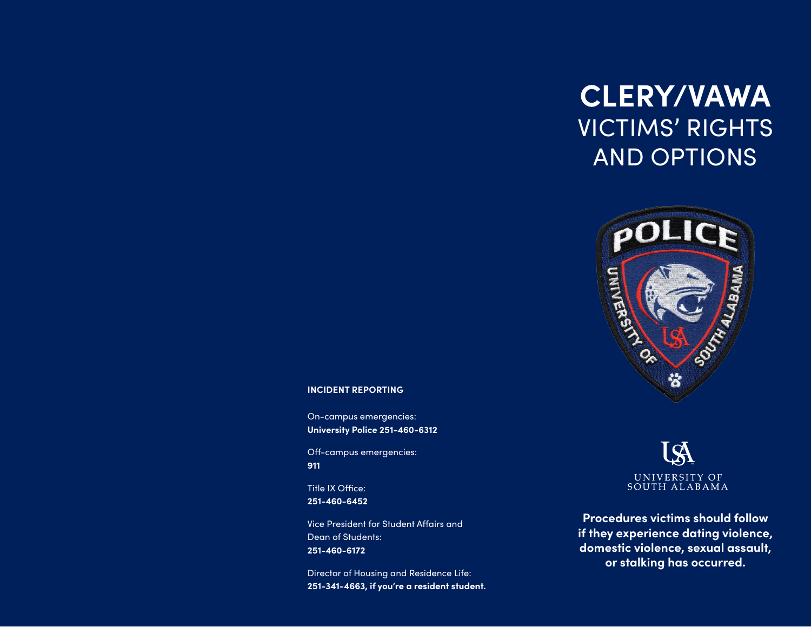## **CLERY/VAWA** VICTIMS' RIGHTS AND OPTIONS



#### **INCIDENT REPORTING**

On-campus emergencies: **University Police 251-460-6312** 

Off-campus emergencies: **911** 

Title IX Office: **251-460-6452** 

Vice President for Student Affairs and Dean of Students: **251-460-6172** 

Director of Housing and Residence Life: **251-341-4663, if you're a resident student.** 

## UNIVERSITY OF SOUTH ALABAMA

**Procedures victims should follow if they experience dating violence, domestic violence, sexual assault, or stalking has occurred.**